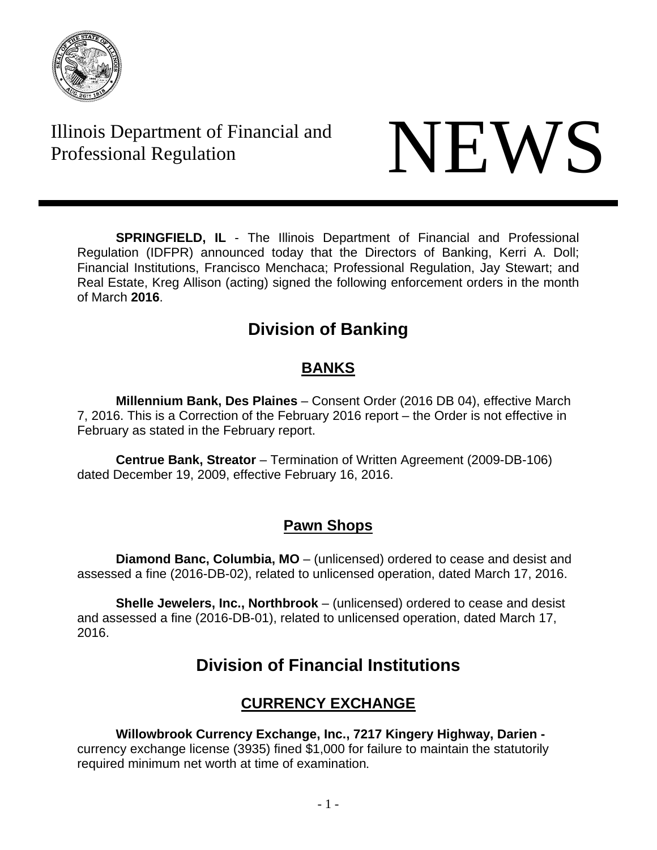

Illinois Department of Financial and Illinois Department of Financial and<br>Professional Regulation



**SPRINGFIELD, IL** - The Illinois Department of Financial and Professional Regulation (IDFPR) announced today that the Directors of Banking, Kerri A. Doll; Financial Institutions, Francisco Menchaca; Professional Regulation, Jay Stewart; and Real Estate, Kreg Allison (acting) signed the following enforcement orders in the month of March **2016**.

# **Division of Banking**

## **BANKS**

**Millennium Bank, Des Plaines** – Consent Order (2016 DB 04), effective March 7, 2016. This is a Correction of the February 2016 report – the Order is not effective in February as stated in the February report.

**Centrue Bank, Streator** – Termination of Written Agreement (2009-DB-106) dated December 19, 2009, effective February 16, 2016.

# **Pawn Shops**

**Diamond Banc, Columbia, MO** – (unlicensed) ordered to cease and desist and assessed a fine (2016-DB-02), related to unlicensed operation, dated March 17, 2016.

**Shelle Jewelers, Inc., Northbrook** – (unlicensed) ordered to cease and desist and assessed a fine (2016-DB-01), related to unlicensed operation, dated March 17, 2016.

# **Division of Financial Institutions**

# **CURRENCY EXCHANGE**

# **Willowbrook Currency Exchange, Inc., 7217 Kingery Highway, Darien -**

currency exchange license (3935) fined \$1,000 for failure to maintain the statutorily required minimum net worth at time of examination.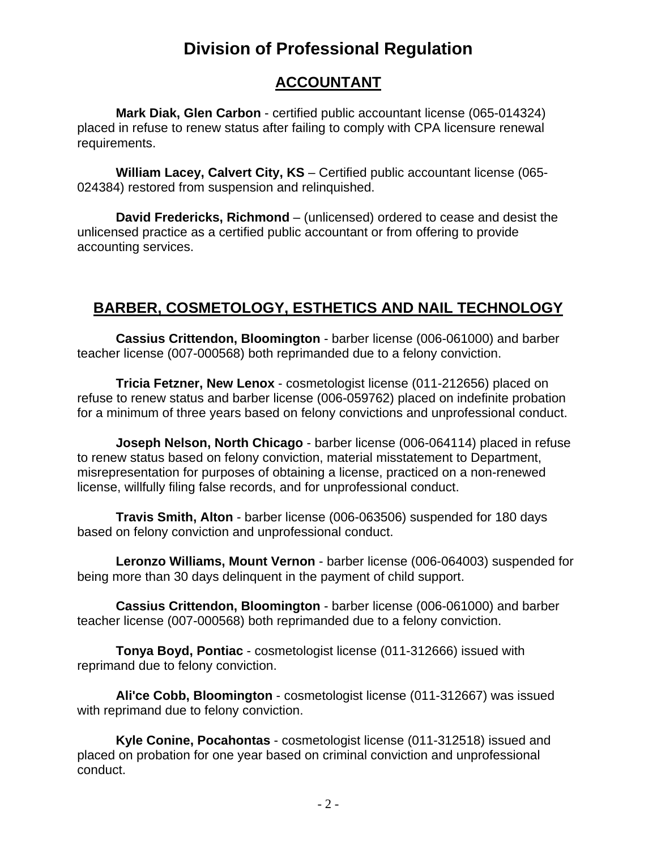# **Division of Professional Regulation**

### **ACCOUNTANT**

**Mark Diak, Glen Carbon** - certified public accountant license (065-014324) placed in refuse to renew status after failing to comply with CPA licensure renewal requirements.

**William Lacey, Calvert City, KS** – Certified public accountant license (065- 024384) restored from suspension and relinquished.

**David Fredericks, Richmond** – (unlicensed) ordered to cease and desist the unlicensed practice as a certified public accountant or from offering to provide accounting services.

# **BARBER, COSMETOLOGY, ESTHETICS AND NAIL TECHNOLOGY**

**Cassius Crittendon, Bloomington** - barber license (006-061000) and barber teacher license (007-000568) both reprimanded due to a felony conviction.

**Tricia Fetzner, New Lenox** - cosmetologist license (011-212656) placed on refuse to renew status and barber license (006-059762) placed on indefinite probation for a minimum of three years based on felony convictions and unprofessional conduct.

**Joseph Nelson, North Chicago** - barber license (006-064114) placed in refuse to renew status based on felony conviction, material misstatement to Department, misrepresentation for purposes of obtaining a license, practiced on a non-renewed license, willfully filing false records, and for unprofessional conduct.

**Travis Smith, Alton** - barber license (006-063506) suspended for 180 days based on felony conviction and unprofessional conduct.

**Leronzo Williams, Mount Vernon** - barber license (006-064003) suspended for being more than 30 days delinquent in the payment of child support.

**Cassius Crittendon, Bloomington** - barber license (006-061000) and barber teacher license (007-000568) both reprimanded due to a felony conviction.

**Tonya Boyd, Pontiac** - cosmetologist license (011-312666) issued with reprimand due to felony conviction.

**Ali'ce Cobb, Bloomington** - cosmetologist license (011-312667) was issued with reprimand due to felony conviction.

**Kyle Conine, Pocahontas** - cosmetologist license (011-312518) issued and placed on probation for one year based on criminal conviction and unprofessional conduct.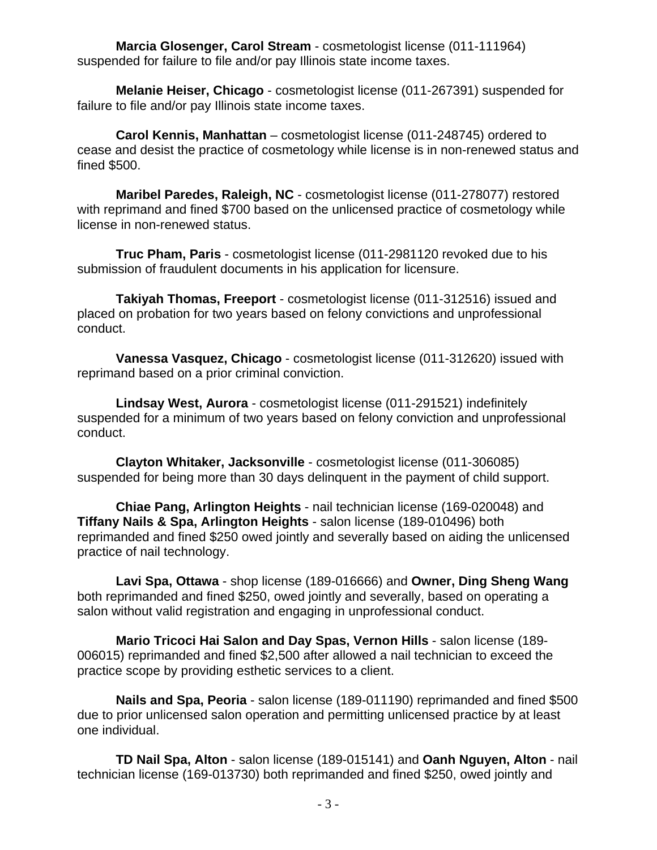**Marcia Glosenger, Carol Stream** - cosmetologist license (011-111964) suspended for failure to file and/or pay Illinois state income taxes.

**Melanie Heiser, Chicago** - cosmetologist license (011-267391) suspended for failure to file and/or pay Illinois state income taxes.

**Carol Kennis, Manhattan** – cosmetologist license (011-248745) ordered to cease and desist the practice of cosmetology while license is in non-renewed status and fined \$500.

**Maribel Paredes, Raleigh, NC** - cosmetologist license (011-278077) restored with reprimand and fined \$700 based on the unlicensed practice of cosmetology while license in non-renewed status.

**Truc Pham, Paris** - cosmetologist license (011-2981120 revoked due to his submission of fraudulent documents in his application for licensure.

**Takiyah Thomas, Freeport** - cosmetologist license (011-312516) issued and placed on probation for two years based on felony convictions and unprofessional conduct.

**Vanessa Vasquez, Chicago** - cosmetologist license (011-312620) issued with reprimand based on a prior criminal conviction.

**Lindsay West, Aurora** - cosmetologist license (011-291521) indefinitely suspended for a minimum of two years based on felony conviction and unprofessional conduct.

**Clayton Whitaker, Jacksonville** - cosmetologist license (011-306085) suspended for being more than 30 days delinquent in the payment of child support.

**Chiae Pang, Arlington Heights** - nail technician license (169-020048) and **Tiffany Nails & Spa, Arlington Heights** - salon license (189-010496) both reprimanded and fined \$250 owed jointly and severally based on aiding the unlicensed practice of nail technology.

**Lavi Spa, Ottawa** - shop license (189-016666) and **Owner, Ding Sheng Wang** both reprimanded and fined \$250, owed jointly and severally, based on operating a salon without valid registration and engaging in unprofessional conduct.

**Mario Tricoci Hai Salon and Day Spas, Vernon Hills** - salon license (189- 006015) reprimanded and fined \$2,500 after allowed a nail technician to exceed the practice scope by providing esthetic services to a client.

**Nails and Spa, Peoria** - salon license (189-011190) reprimanded and fined \$500 due to prior unlicensed salon operation and permitting unlicensed practice by at least one individual.

**TD Nail Spa, Alton** - salon license (189-015141) and **Oanh Nguyen, Alton** - nail technician license (169-013730) both reprimanded and fined \$250, owed jointly and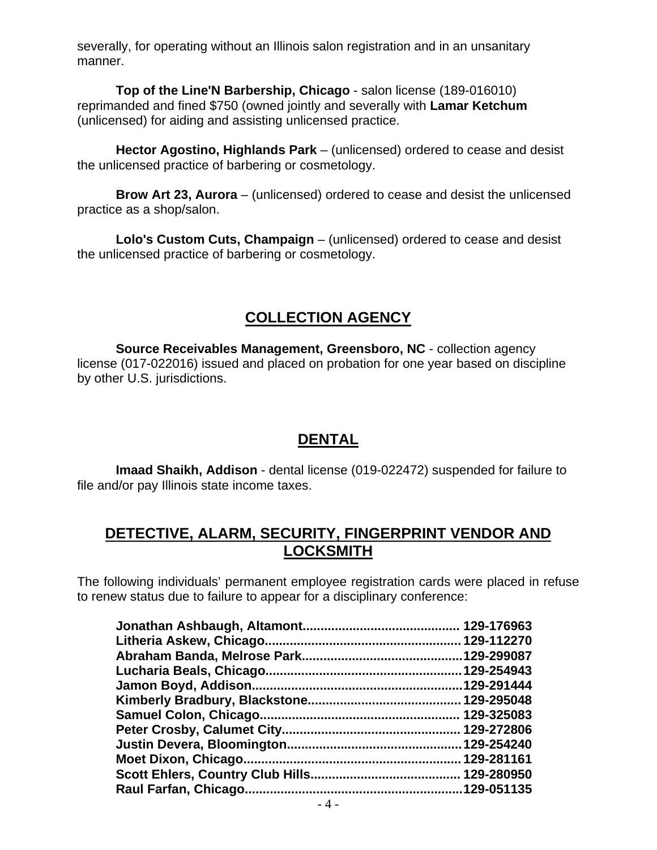severally, for operating without an Illinois salon registration and in an unsanitary manner.

**Top of the Line'N Barbership, Chicago** - salon license (189-016010) reprimanded and fined \$750 (owned jointly and severally with **Lamar Ketchum** (unlicensed) for aiding and assisting unlicensed practice.

**Hector Agostino, Highlands Park** – (unlicensed) ordered to cease and desist the unlicensed practice of barbering or cosmetology.

**Brow Art 23, Aurora** – (unlicensed) ordered to cease and desist the unlicensed practice as a shop/salon.

**Lolo's Custom Cuts, Champaign** – (unlicensed) ordered to cease and desist the unlicensed practice of barbering or cosmetology.

## **COLLECTION AGENCY**

**Source Receivables Management, Greensboro, NC** - collection agency license (017-022016) issued and placed on probation for one year based on discipline by other U.S. jurisdictions.

### **DENTAL**

**Imaad Shaikh, Addison** - dental license (019-022472) suspended for failure to file and/or pay Illinois state income taxes.

#### **DETECTIVE, ALARM, SECURITY, FINGERPRINT VENDOR AND LOCKSMITH**

The following individuals' permanent employee registration cards were placed in refuse to renew status due to failure to appear for a disciplinary conference:

| .129-291444 |
|-------------|
|             |
|             |
|             |
|             |
| 129-281161  |
|             |
| .129-051135 |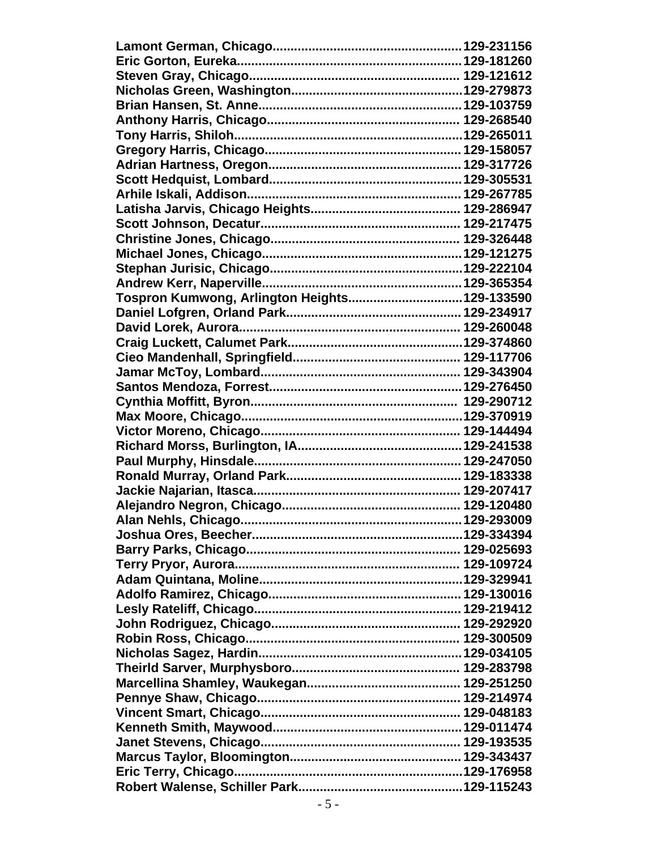| Tospron Kumwong, Arlington Heights129-133590 |  |
|----------------------------------------------|--|
|                                              |  |
|                                              |  |
|                                              |  |
|                                              |  |
|                                              |  |
|                                              |  |
|                                              |  |
|                                              |  |
|                                              |  |
|                                              |  |
|                                              |  |
|                                              |  |
|                                              |  |
|                                              |  |
|                                              |  |
|                                              |  |
|                                              |  |
|                                              |  |
|                                              |  |
|                                              |  |
|                                              |  |
|                                              |  |
|                                              |  |
|                                              |  |
|                                              |  |
|                                              |  |
|                                              |  |
|                                              |  |
|                                              |  |
|                                              |  |
|                                              |  |
|                                              |  |
|                                              |  |
|                                              |  |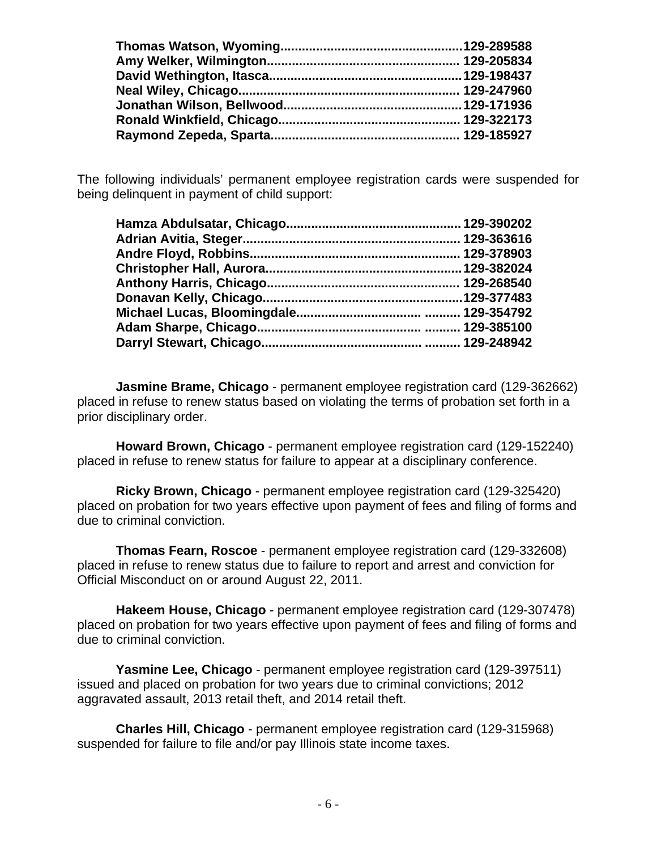The following individuals' permanent employee registration cards were suspended for being delinquent in payment of child support:

**Jasmine Brame, Chicago** - permanent employee registration card (129-362662) placed in refuse to renew status based on violating the terms of probation set forth in a prior disciplinary order.

**Howard Brown, Chicago** - permanent employee registration card (129-152240) placed in refuse to renew status for failure to appear at a disciplinary conference.

**Ricky Brown, Chicago** - permanent employee registration card (129-325420) placed on probation for two years effective upon payment of fees and filing of forms and due to criminal conviction.

**Thomas Fearn, Roscoe** - permanent employee registration card (129-332608) placed in refuse to renew status due to failure to report and arrest and conviction for Official Misconduct on or around August 22, 2011.

**Hakeem House, Chicago** - permanent employee registration card (129-307478) placed on probation for two years effective upon payment of fees and filing of forms and due to criminal conviction.

**Yasmine Lee, Chicago** - permanent employee registration card (129-397511) issued and placed on probation for two years due to criminal convictions; 2012 aggravated assault, 2013 retail theft, and 2014 retail theft.

**Charles Hill, Chicago** - permanent employee registration card (129-315968) suspended for failure to file and/or pay Illinois state income taxes.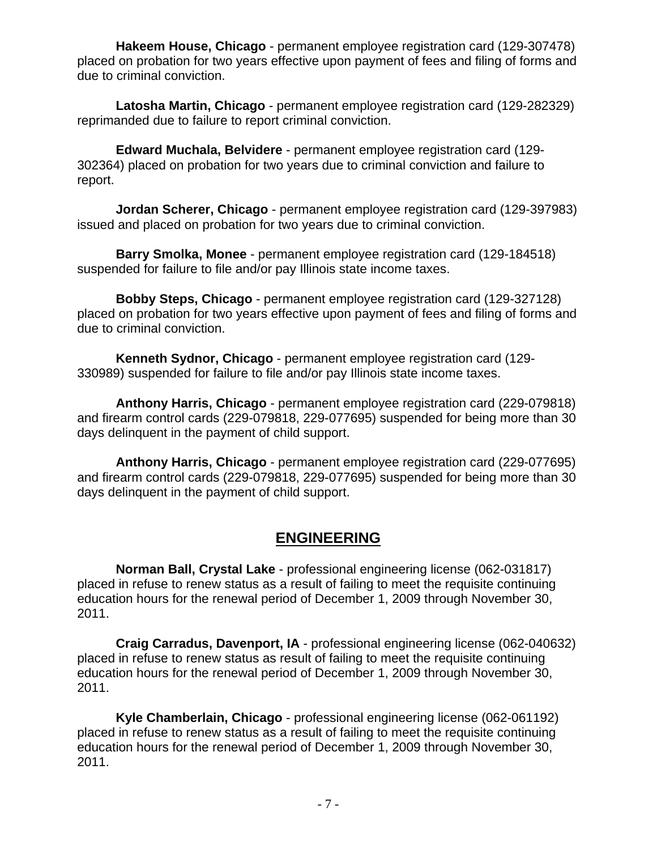**Hakeem House, Chicago** - permanent employee registration card (129-307478) placed on probation for two years effective upon payment of fees and filing of forms and due to criminal conviction.

**Latosha Martin, Chicago** - permanent employee registration card (129-282329) reprimanded due to failure to report criminal conviction.

**Edward Muchala, Belvidere** - permanent employee registration card (129- 302364) placed on probation for two years due to criminal conviction and failure to report.

**Jordan Scherer, Chicago** - permanent employee registration card (129-397983) issued and placed on probation for two years due to criminal conviction.

**Barry Smolka, Monee** - permanent employee registration card (129-184518) suspended for failure to file and/or pay Illinois state income taxes.

**Bobby Steps, Chicago** - permanent employee registration card (129-327128) placed on probation for two years effective upon payment of fees and filing of forms and due to criminal conviction.

**Kenneth Sydnor, Chicago** - permanent employee registration card (129- 330989) suspended for failure to file and/or pay Illinois state income taxes.

**Anthony Harris, Chicago** - permanent employee registration card (229-079818) and firearm control cards (229-079818, 229-077695) suspended for being more than 30 days delinquent in the payment of child support.

**Anthony Harris, Chicago** - permanent employee registration card (229-077695) and firearm control cards (229-079818, 229-077695) suspended for being more than 30 days delinquent in the payment of child support.

#### **ENGINEERING**

**Norman Ball, Crystal Lake** - professional engineering license (062-031817) placed in refuse to renew status as a result of failing to meet the requisite continuing education hours for the renewal period of December 1, 2009 through November 30, 2011.

**Craig Carradus, Davenport, IA** - professional engineering license (062-040632) placed in refuse to renew status as result of failing to meet the requisite continuing education hours for the renewal period of December 1, 2009 through November 30, 2011.

**Kyle Chamberlain, Chicago** - professional engineering license (062-061192) placed in refuse to renew status as a result of failing to meet the requisite continuing education hours for the renewal period of December 1, 2009 through November 30, 2011.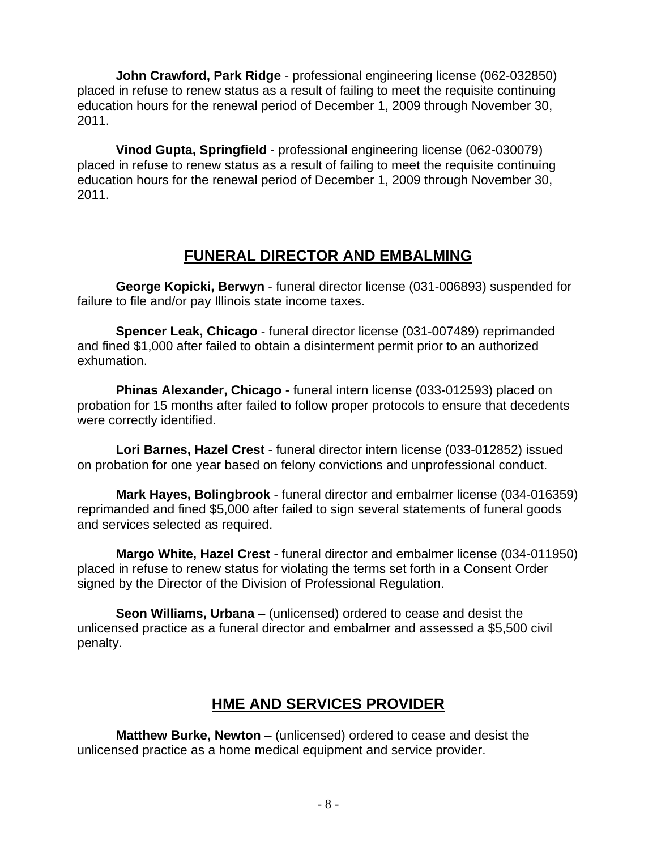**John Crawford, Park Ridge** - professional engineering license (062-032850) placed in refuse to renew status as a result of failing to meet the requisite continuing education hours for the renewal period of December 1, 2009 through November 30, 2011.

**Vinod Gupta, Springfield** - professional engineering license (062-030079) placed in refuse to renew status as a result of failing to meet the requisite continuing education hours for the renewal period of December 1, 2009 through November 30, 2011.

### **FUNERAL DIRECTOR AND EMBALMING**

**George Kopicki, Berwyn** - funeral director license (031-006893) suspended for failure to file and/or pay Illinois state income taxes.

**Spencer Leak, Chicago** - funeral director license (031-007489) reprimanded and fined \$1,000 after failed to obtain a disinterment permit prior to an authorized exhumation.

**Phinas Alexander, Chicago** - funeral intern license (033-012593) placed on probation for 15 months after failed to follow proper protocols to ensure that decedents were correctly identified.

**Lori Barnes, Hazel Crest** - funeral director intern license (033-012852) issued on probation for one year based on felony convictions and unprofessional conduct.

**Mark Hayes, Bolingbrook** - funeral director and embalmer license (034-016359) reprimanded and fined \$5,000 after failed to sign several statements of funeral goods and services selected as required.

**Margo White, Hazel Crest** - funeral director and embalmer license (034-011950) placed in refuse to renew status for violating the terms set forth in a Consent Order signed by the Director of the Division of Professional Regulation.

**Seon Williams, Urbana** – (unlicensed) ordered to cease and desist the unlicensed practice as a funeral director and embalmer and assessed a \$5,500 civil penalty.

# **HME AND SERVICES PROVIDER**

**Matthew Burke, Newton** – (unlicensed) ordered to cease and desist the unlicensed practice as a home medical equipment and service provider.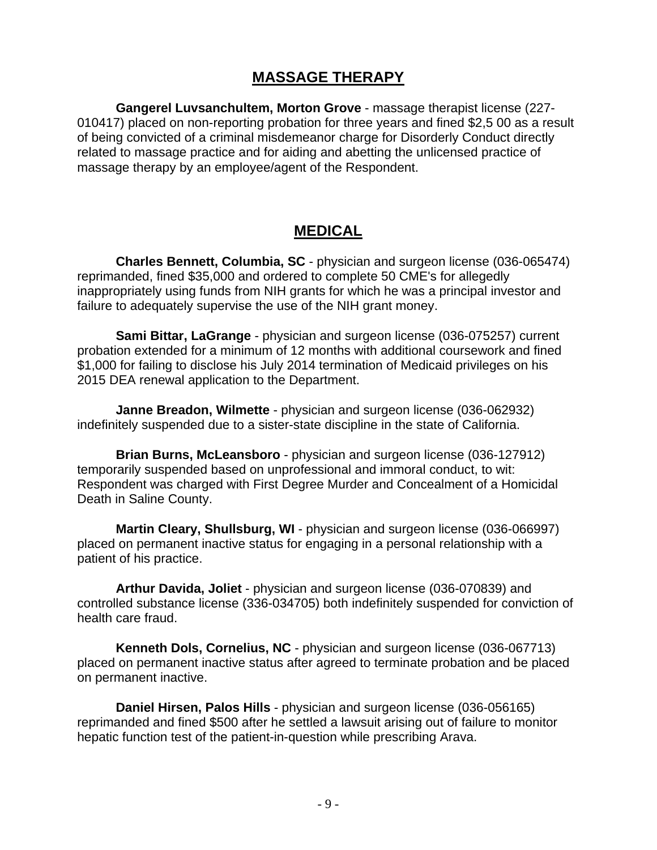#### **MASSAGE THERAPY**

**Gangerel Luvsanchultem, Morton Grove** - massage therapist license (227- 010417) placed on non-reporting probation for three years and fined \$2,5 00 as a result of being convicted of a criminal misdemeanor charge for Disorderly Conduct directly related to massage practice and for aiding and abetting the unlicensed practice of massage therapy by an employee/agent of the Respondent.

#### **MEDICAL**

**Charles Bennett, Columbia, SC** - physician and surgeon license (036-065474) reprimanded, fined \$35,000 and ordered to complete 50 CME's for allegedly inappropriately using funds from NIH grants for which he was a principal investor and failure to adequately supervise the use of the NIH grant money.

**Sami Bittar, LaGrange** - physician and surgeon license (036-075257) current probation extended for a minimum of 12 months with additional coursework and fined \$1,000 for failing to disclose his July 2014 termination of Medicaid privileges on his 2015 DEA renewal application to the Department.

**Janne Breadon, Wilmette** - physician and surgeon license (036-062932) indefinitely suspended due to a sister-state discipline in the state of California.

**Brian Burns, McLeansboro** - physician and surgeon license (036-127912) temporarily suspended based on unprofessional and immoral conduct, to wit: Respondent was charged with First Degree Murder and Concealment of a Homicidal Death in Saline County.

**Martin Cleary, Shullsburg, WI** - physician and surgeon license (036-066997) placed on permanent inactive status for engaging in a personal relationship with a patient of his practice.

**Arthur Davida, Joliet** - physician and surgeon license (036-070839) and controlled substance license (336-034705) both indefinitely suspended for conviction of health care fraud.

**Kenneth Dols, Cornelius, NC** - physician and surgeon license (036-067713) placed on permanent inactive status after agreed to terminate probation and be placed on permanent inactive.

**Daniel Hirsen, Palos Hills** - physician and surgeon license (036-056165) reprimanded and fined \$500 after he settled a lawsuit arising out of failure to monitor hepatic function test of the patient-in-question while prescribing Arava.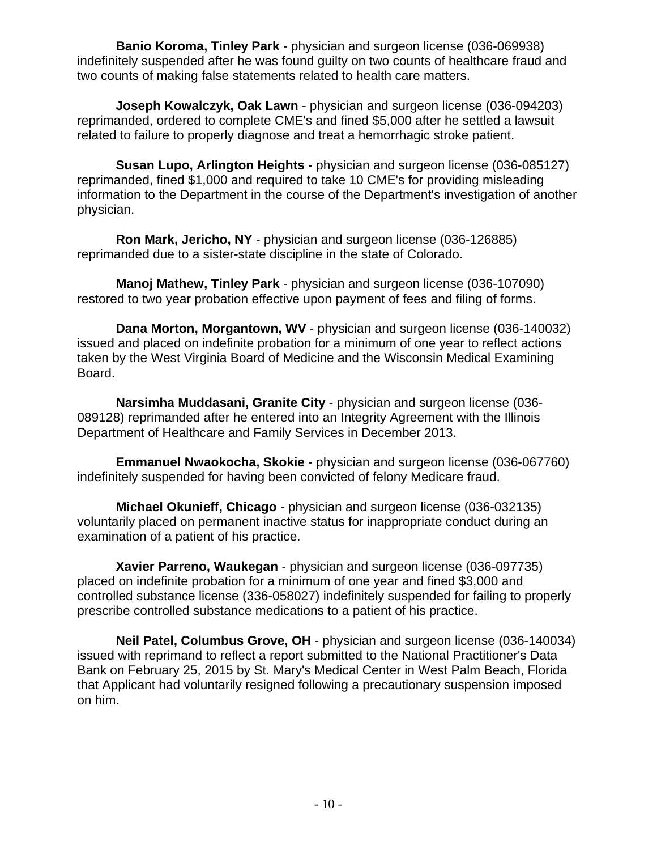**Banio Koroma, Tinley Park** - physician and surgeon license (036-069938) indefinitely suspended after he was found guilty on two counts of healthcare fraud and two counts of making false statements related to health care matters.

**Joseph Kowalczyk, Oak Lawn** - physician and surgeon license (036-094203) reprimanded, ordered to complete CME's and fined \$5,000 after he settled a lawsuit related to failure to properly diagnose and treat a hemorrhagic stroke patient.

**Susan Lupo, Arlington Heights** - physician and surgeon license (036-085127) reprimanded, fined \$1,000 and required to take 10 CME's for providing misleading information to the Department in the course of the Department's investigation of another physician.

**Ron Mark, Jericho, NY** - physician and surgeon license (036-126885) reprimanded due to a sister-state discipline in the state of Colorado.

**Manoj Mathew, Tinley Park** - physician and surgeon license (036-107090) restored to two year probation effective upon payment of fees and filing of forms.

**Dana Morton, Morgantown, WV** - physician and surgeon license (036-140032) issued and placed on indefinite probation for a minimum of one year to reflect actions taken by the West Virginia Board of Medicine and the Wisconsin Medical Examining Board.

**Narsimha Muddasani, Granite City** - physician and surgeon license (036- 089128) reprimanded after he entered into an Integrity Agreement with the Illinois Department of Healthcare and Family Services in December 2013.

**Emmanuel Nwaokocha, Skokie** - physician and surgeon license (036-067760) indefinitely suspended for having been convicted of felony Medicare fraud.

**Michael Okunieff, Chicago** - physician and surgeon license (036-032135) voluntarily placed on permanent inactive status for inappropriate conduct during an examination of a patient of his practice.

**Xavier Parreno, Waukegan** - physician and surgeon license (036-097735) placed on indefinite probation for a minimum of one year and fined \$3,000 and controlled substance license (336-058027) indefinitely suspended for failing to properly prescribe controlled substance medications to a patient of his practice.

**Neil Patel, Columbus Grove, OH** - physician and surgeon license (036-140034) issued with reprimand to reflect a report submitted to the National Practitioner's Data Bank on February 25, 2015 by St. Mary's Medical Center in West Palm Beach, Florida that Applicant had voluntarily resigned following a precautionary suspension imposed on him.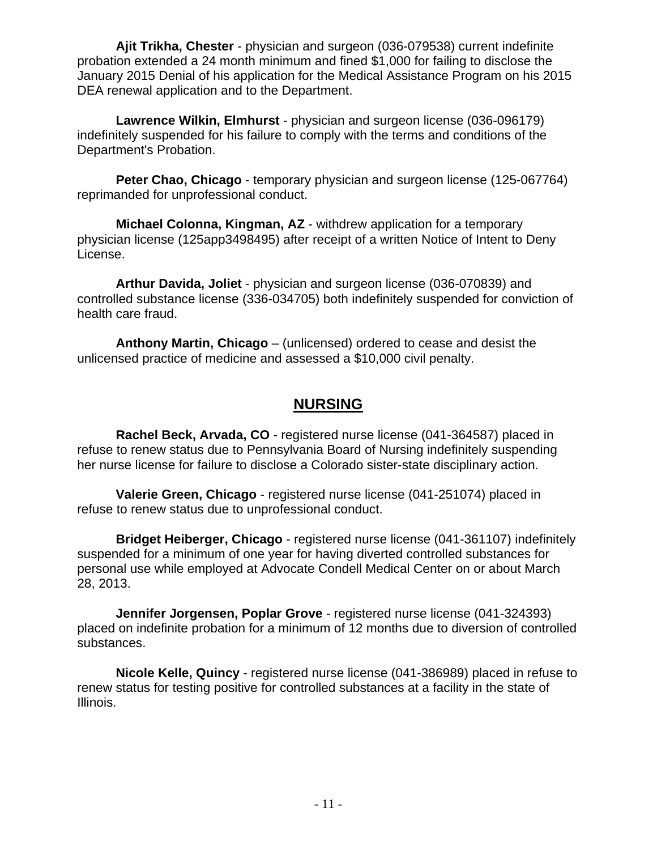**Ajit Trikha, Chester** - physician and surgeon (036-079538) current indefinite probation extended a 24 month minimum and fined \$1,000 for failing to disclose the January 2015 Denial of his application for the Medical Assistance Program on his 2015 DEA renewal application and to the Department.

**Lawrence Wilkin, Elmhurst** - physician and surgeon license (036-096179) indefinitely suspended for his failure to comply with the terms and conditions of the Department's Probation.

**Peter Chao, Chicago** - temporary physician and surgeon license (125-067764) reprimanded for unprofessional conduct.

**Michael Colonna, Kingman, AZ** - withdrew application for a temporary physician license (125app3498495) after receipt of a written Notice of Intent to Deny License.

**Arthur Davida, Joliet** - physician and surgeon license (036-070839) and controlled substance license (336-034705) both indefinitely suspended for conviction of health care fraud.

**Anthony Martin, Chicago** – (unlicensed) ordered to cease and desist the unlicensed practice of medicine and assessed a \$10,000 civil penalty.

#### **NURSING**

**Rachel Beck, Arvada, CO** - registered nurse license (041-364587) placed in refuse to renew status due to Pennsylvania Board of Nursing indefinitely suspending her nurse license for failure to disclose a Colorado sister-state disciplinary action.

**Valerie Green, Chicago** - registered nurse license (041-251074) placed in refuse to renew status due to unprofessional conduct.

**Bridget Heiberger, Chicago** - registered nurse license (041-361107) indefinitely suspended for a minimum of one year for having diverted controlled substances for personal use while employed at Advocate Condell Medical Center on or about March 28, 2013.

**Jennifer Jorgensen, Poplar Grove** - registered nurse license (041-324393) placed on indefinite probation for a minimum of 12 months due to diversion of controlled substances.

**Nicole Kelle, Quincy** - registered nurse license (041-386989) placed in refuse to renew status for testing positive for controlled substances at a facility in the state of Illinois.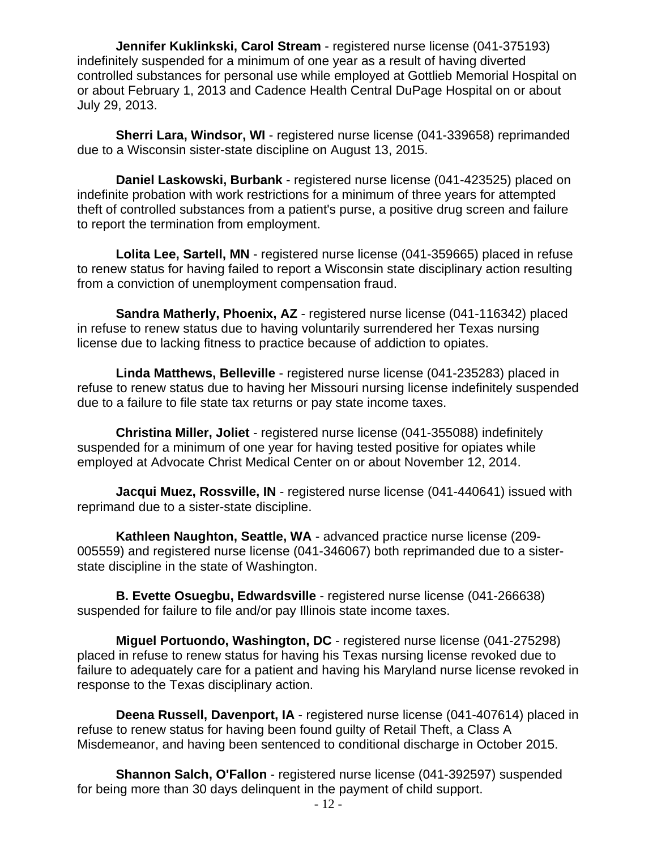**Jennifer Kuklinkski, Carol Stream** - registered nurse license (041-375193) indefinitely suspended for a minimum of one year as a result of having diverted controlled substances for personal use while employed at Gottlieb Memorial Hospital on or about February 1, 2013 and Cadence Health Central DuPage Hospital on or about July 29, 2013.

**Sherri Lara, Windsor, WI** - registered nurse license (041-339658) reprimanded due to a Wisconsin sister-state discipline on August 13, 2015.

**Daniel Laskowski, Burbank** - registered nurse license (041-423525) placed on indefinite probation with work restrictions for a minimum of three years for attempted theft of controlled substances from a patient's purse, a positive drug screen and failure to report the termination from employment.

**Lolita Lee, Sartell, MN** - registered nurse license (041-359665) placed in refuse to renew status for having failed to report a Wisconsin state disciplinary action resulting from a conviction of unemployment compensation fraud.

**Sandra Matherly, Phoenix, AZ** - registered nurse license (041-116342) placed in refuse to renew status due to having voluntarily surrendered her Texas nursing license due to lacking fitness to practice because of addiction to opiates.

**Linda Matthews, Belleville** - registered nurse license (041-235283) placed in refuse to renew status due to having her Missouri nursing license indefinitely suspended due to a failure to file state tax returns or pay state income taxes.

**Christina Miller, Joliet** - registered nurse license (041-355088) indefinitely suspended for a minimum of one year for having tested positive for opiates while employed at Advocate Christ Medical Center on or about November 12, 2014.

**Jacqui Muez, Rossville, IN** - registered nurse license (041-440641) issued with reprimand due to a sister-state discipline.

**Kathleen Naughton, Seattle, WA** - advanced practice nurse license (209- 005559) and registered nurse license (041-346067) both reprimanded due to a sisterstate discipline in the state of Washington.

**B. Evette Osuegbu, Edwardsville** - registered nurse license (041-266638) suspended for failure to file and/or pay Illinois state income taxes.

**Miguel Portuondo, Washington, DC** - registered nurse license (041-275298) placed in refuse to renew status for having his Texas nursing license revoked due to failure to adequately care for a patient and having his Maryland nurse license revoked in response to the Texas disciplinary action.

**Deena Russell, Davenport, IA** - registered nurse license (041-407614) placed in refuse to renew status for having been found guilty of Retail Theft, a Class A Misdemeanor, and having been sentenced to conditional discharge in October 2015.

**Shannon Salch, O'Fallon** - registered nurse license (041-392597) suspended for being more than 30 days delinquent in the payment of child support.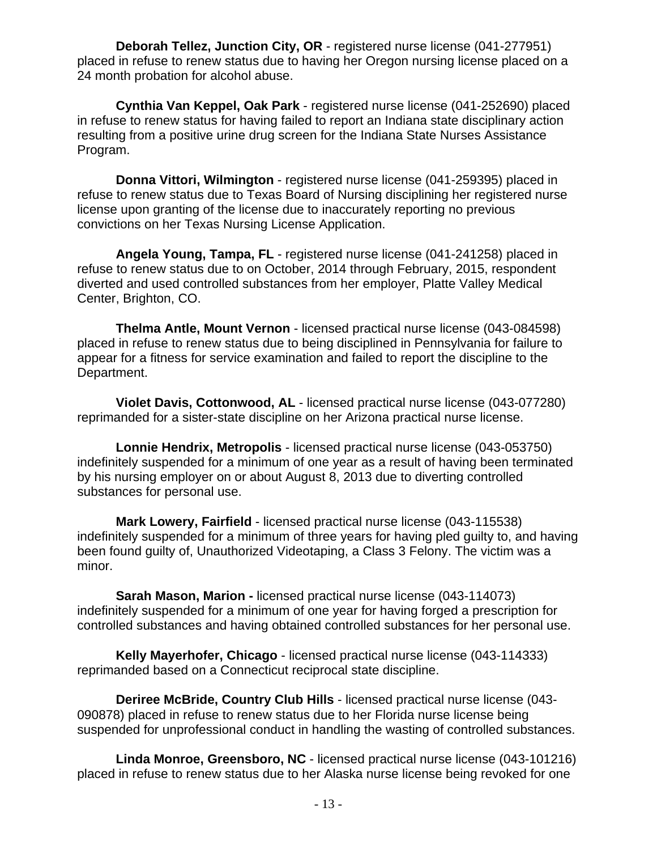**Deborah Tellez, Junction City, OR** - registered nurse license (041-277951) placed in refuse to renew status due to having her Oregon nursing license placed on a 24 month probation for alcohol abuse.

**Cynthia Van Keppel, Oak Park** - registered nurse license (041-252690) placed in refuse to renew status for having failed to report an Indiana state disciplinary action resulting from a positive urine drug screen for the Indiana State Nurses Assistance Program.

**Donna Vittori, Wilmington** - registered nurse license (041-259395) placed in refuse to renew status due to Texas Board of Nursing disciplining her registered nurse license upon granting of the license due to inaccurately reporting no previous convictions on her Texas Nursing License Application.

**Angela Young, Tampa, FL** - registered nurse license (041-241258) placed in refuse to renew status due to on October, 2014 through February, 2015, respondent diverted and used controlled substances from her employer, Platte Valley Medical Center, Brighton, CO.

**Thelma Antle, Mount Vernon** - licensed practical nurse license (043-084598) placed in refuse to renew status due to being disciplined in Pennsylvania for failure to appear for a fitness for service examination and failed to report the discipline to the Department.

**Violet Davis, Cottonwood, AL** - licensed practical nurse license (043-077280) reprimanded for a sister-state discipline on her Arizona practical nurse license.

**Lonnie Hendrix, Metropolis** - licensed practical nurse license (043-053750) indefinitely suspended for a minimum of one year as a result of having been terminated by his nursing employer on or about August 8, 2013 due to diverting controlled substances for personal use.

**Mark Lowery, Fairfield** - licensed practical nurse license (043-115538) indefinitely suspended for a minimum of three years for having pled guilty to, and having been found guilty of, Unauthorized Videotaping, a Class 3 Felony. The victim was a minor.

**Sarah Mason, Marion -** licensed practical nurse license (043-114073) indefinitely suspended for a minimum of one year for having forged a prescription for controlled substances and having obtained controlled substances for her personal use.

**Kelly Mayerhofer, Chicago** - licensed practical nurse license (043-114333) reprimanded based on a Connecticut reciprocal state discipline.

**Deriree McBride, Country Club Hills** - licensed practical nurse license (043- 090878) placed in refuse to renew status due to her Florida nurse license being suspended for unprofessional conduct in handling the wasting of controlled substances.

**Linda Monroe, Greensboro, NC** - licensed practical nurse license (043-101216) placed in refuse to renew status due to her Alaska nurse license being revoked for one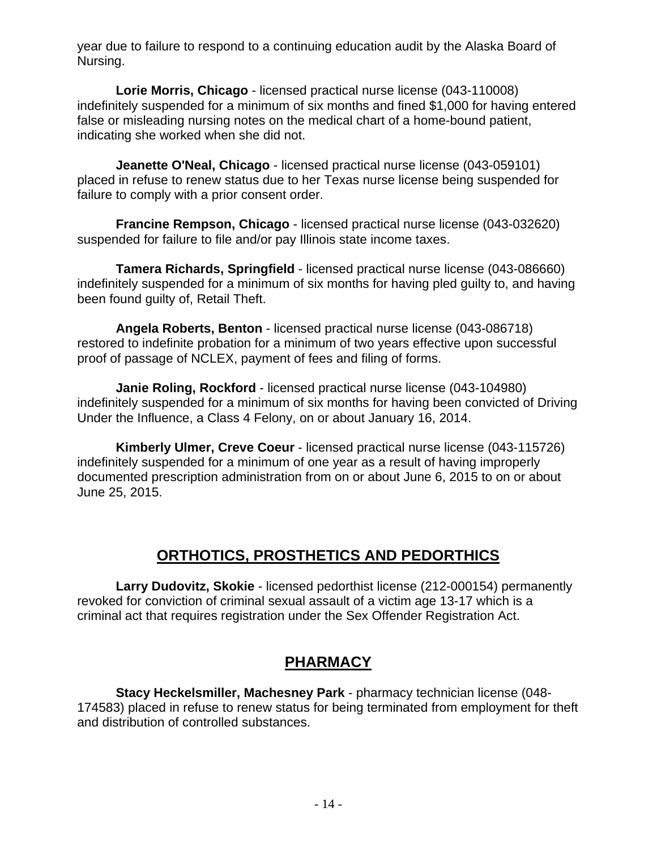year due to failure to respond to a continuing education audit by the Alaska Board of Nursing.

**Lorie Morris, Chicago** - licensed practical nurse license (043-110008) indefinitely suspended for a minimum of six months and fined \$1,000 for having entered false or misleading nursing notes on the medical chart of a home-bound patient, indicating she worked when she did not.

**Jeanette O'Neal, Chicago** - licensed practical nurse license (043-059101) placed in refuse to renew status due to her Texas nurse license being suspended for failure to comply with a prior consent order.

**Francine Rempson, Chicago** - licensed practical nurse license (043-032620) suspended for failure to file and/or pay Illinois state income taxes.

**Tamera Richards, Springfield** - licensed practical nurse license (043-086660) indefinitely suspended for a minimum of six months for having pled guilty to, and having been found guilty of, Retail Theft.

**Angela Roberts, Benton** - licensed practical nurse license (043-086718) restored to indefinite probation for a minimum of two years effective upon successful proof of passage of NCLEX, payment of fees and filing of forms.

**Janie Roling, Rockford** - licensed practical nurse license (043-104980) indefinitely suspended for a minimum of six months for having been convicted of Driving Under the Influence, a Class 4 Felony, on or about January 16, 2014.

**Kimberly Ulmer, Creve Coeur** - licensed practical nurse license (043-115726) indefinitely suspended for a minimum of one year as a result of having improperly documented prescription administration from on or about June 6, 2015 to on or about June 25, 2015.

### **ORTHOTICS, PROSTHETICS AND PEDORTHICS**

**Larry Dudovitz, Skokie** - licensed pedorthist license (212-000154) permanently revoked for conviction of criminal sexual assault of a victim age 13-17 which is a criminal act that requires registration under the Sex Offender Registration Act.

# **PHARMACY**

**Stacy Heckelsmiller, Machesney Park** - pharmacy technician license (048- 174583) placed in refuse to renew status for being terminated from employment for theft and distribution of controlled substances.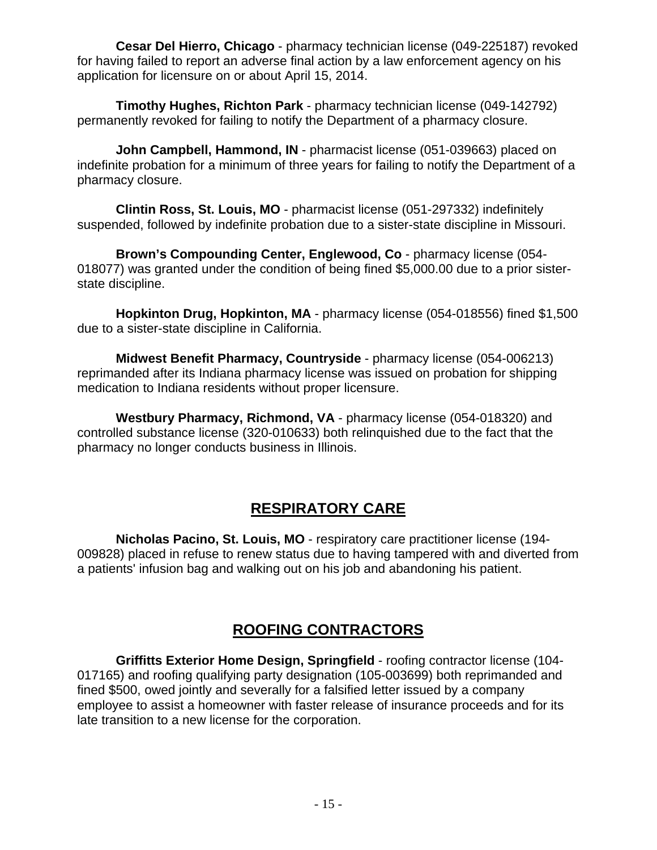**Cesar Del Hierro, Chicago** - pharmacy technician license (049-225187) revoked for having failed to report an adverse final action by a law enforcement agency on his application for licensure on or about April 15, 2014.

**Timothy Hughes, Richton Park** - pharmacy technician license (049-142792) permanently revoked for failing to notify the Department of a pharmacy closure.

**John Campbell, Hammond, IN** - pharmacist license (051-039663) placed on indefinite probation for a minimum of three years for failing to notify the Department of a pharmacy closure.

**Clintin Ross, St. Louis, MO** - pharmacist license (051-297332) indefinitely suspended, followed by indefinite probation due to a sister-state discipline in Missouri.

**Brown's Compounding Center, Englewood, Co** - pharmacy license (054- 018077) was granted under the condition of being fined \$5,000.00 due to a prior sisterstate discipline.

**Hopkinton Drug, Hopkinton, MA** - pharmacy license (054-018556) fined \$1,500 due to a sister-state discipline in California.

**Midwest Benefit Pharmacy, Countryside** - pharmacy license (054-006213) reprimanded after its Indiana pharmacy license was issued on probation for shipping medication to Indiana residents without proper licensure.

**Westbury Pharmacy, Richmond, VA** - pharmacy license (054-018320) and controlled substance license (320-010633) both relinquished due to the fact that the pharmacy no longer conducts business in Illinois.

# **RESPIRATORY CARE**

**Nicholas Pacino, St. Louis, MO** - respiratory care practitioner license (194- 009828) placed in refuse to renew status due to having tampered with and diverted from a patients' infusion bag and walking out on his job and abandoning his patient.

### **ROOFING CONTRACTORS**

**Griffitts Exterior Home Design, Springfield** - roofing contractor license (104- 017165) and roofing qualifying party designation (105-003699) both reprimanded and fined \$500, owed jointly and severally for a falsified letter issued by a company employee to assist a homeowner with faster release of insurance proceeds and for its late transition to a new license for the corporation.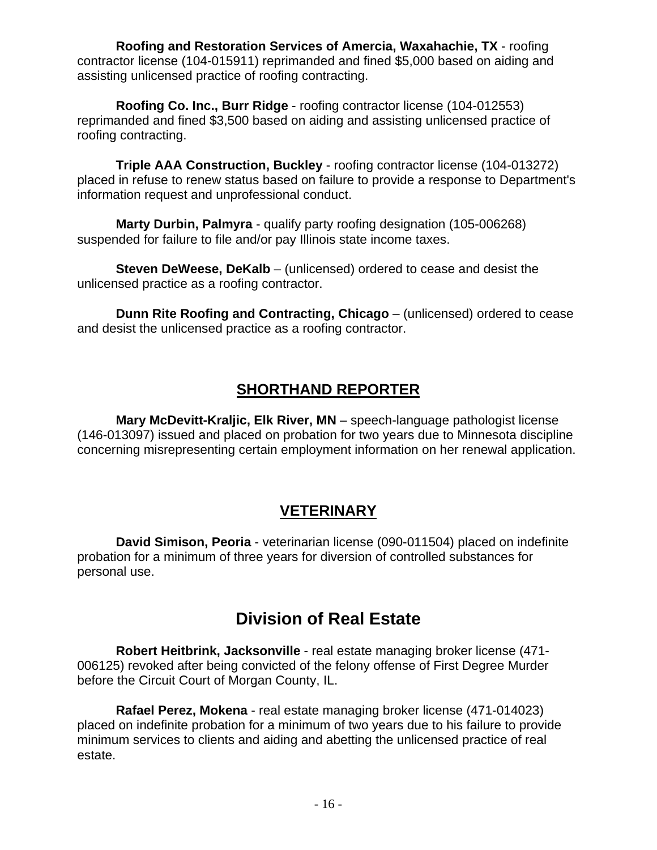**Roofing and Restoration Services of Amercia, Waxahachie, TX** - roofing contractor license (104-015911) reprimanded and fined \$5,000 based on aiding and assisting unlicensed practice of roofing contracting.

**Roofing Co. Inc., Burr Ridge** - roofing contractor license (104-012553) reprimanded and fined \$3,500 based on aiding and assisting unlicensed practice of roofing contracting.

**Triple AAA Construction, Buckley** - roofing contractor license (104-013272) placed in refuse to renew status based on failure to provide a response to Department's information request and unprofessional conduct.

**Marty Durbin, Palmyra** - qualify party roofing designation (105-006268) suspended for failure to file and/or pay Illinois state income taxes.

**Steven DeWeese, DeKalb** – (unlicensed) ordered to cease and desist the unlicensed practice as a roofing contractor.

**Dunn Rite Roofing and Contracting, Chicago** – (unlicensed) ordered to cease and desist the unlicensed practice as a roofing contractor.

## **SHORTHAND REPORTER**

**Mary McDevitt-Kraljic, Elk River, MN** – speech-language pathologist license (146-013097) issued and placed on probation for two years due to Minnesota discipline concerning misrepresenting certain employment information on her renewal application.

### **VETERINARY**

**David Simison, Peoria** - veterinarian license (090-011504) placed on indefinite probation for a minimum of three years for diversion of controlled substances for personal use.

# **Division of Real Estate**

**Robert Heitbrink, Jacksonville** - real estate managing broker license (471- 006125) revoked after being convicted of the felony offense of First Degree Murder before the Circuit Court of Morgan County, IL.

**Rafael Perez, Mokena** - real estate managing broker license (471-014023) placed on indefinite probation for a minimum of two years due to his failure to provide minimum services to clients and aiding and abetting the unlicensed practice of real estate.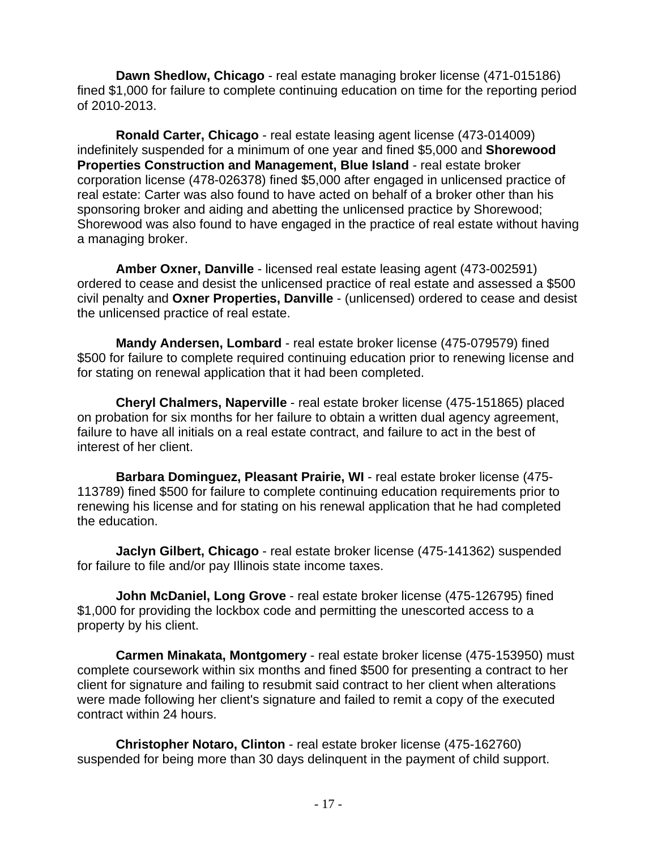**Dawn Shedlow, Chicago** - real estate managing broker license (471-015186) fined \$1,000 for failure to complete continuing education on time for the reporting period of 2010-2013.

**Ronald Carter, Chicago** - real estate leasing agent license (473-014009) indefinitely suspended for a minimum of one year and fined \$5,000 and **Shorewood Properties Construction and Management, Blue Island** - real estate broker corporation license (478-026378) fined \$5,000 after engaged in unlicensed practice of real estate: Carter was also found to have acted on behalf of a broker other than his sponsoring broker and aiding and abetting the unlicensed practice by Shorewood; Shorewood was also found to have engaged in the practice of real estate without having a managing broker.

**Amber Oxner, Danville** - licensed real estate leasing agent (473-002591) ordered to cease and desist the unlicensed practice of real estate and assessed a \$500 civil penalty and **Oxner Properties, Danville** - (unlicensed) ordered to cease and desist the unlicensed practice of real estate.

**Mandy Andersen, Lombard** - real estate broker license (475-079579) fined \$500 for failure to complete required continuing education prior to renewing license and for stating on renewal application that it had been completed.

**Cheryl Chalmers, Naperville** - real estate broker license (475-151865) placed on probation for six months for her failure to obtain a written dual agency agreement, failure to have all initials on a real estate contract, and failure to act in the best of interest of her client.

**Barbara Dominguez, Pleasant Prairie, WI** - real estate broker license (475- 113789) fined \$500 for failure to complete continuing education requirements prior to renewing his license and for stating on his renewal application that he had completed the education.

**Jaclyn Gilbert, Chicago** - real estate broker license (475-141362) suspended for failure to file and/or pay Illinois state income taxes.

**John McDaniel, Long Grove** - real estate broker license (475-126795) fined \$1,000 for providing the lockbox code and permitting the unescorted access to a property by his client.

**Carmen Minakata, Montgomery** - real estate broker license (475-153950) must complete coursework within six months and fined \$500 for presenting a contract to her client for signature and failing to resubmit said contract to her client when alterations were made following her client's signature and failed to remit a copy of the executed contract within 24 hours.

**Christopher Notaro, Clinton** - real estate broker license (475-162760) suspended for being more than 30 days delinquent in the payment of child support.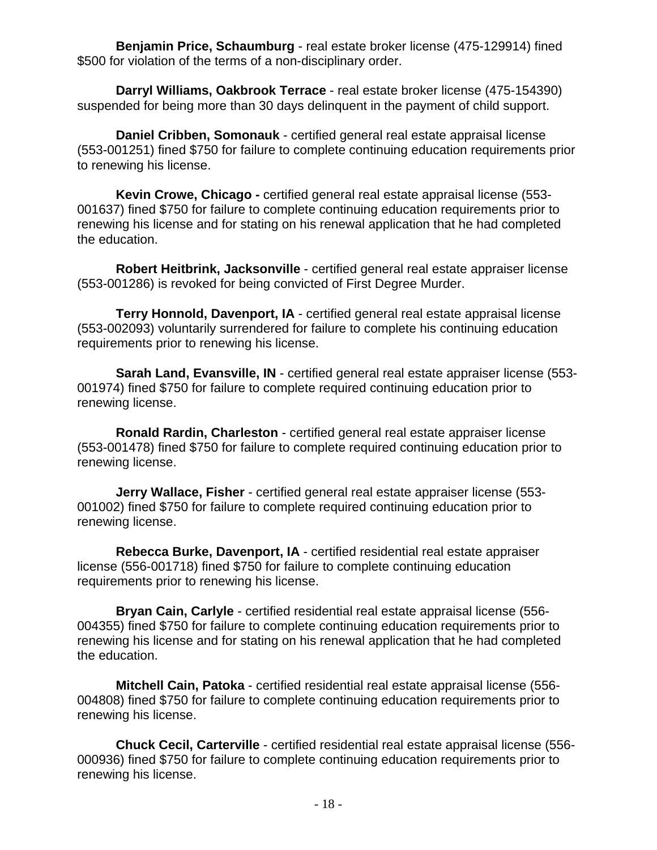**Benjamin Price, Schaumburg** - real estate broker license (475-129914) fined \$500 for violation of the terms of a non-disciplinary order.

**Darryl Williams, Oakbrook Terrace** - real estate broker license (475-154390) suspended for being more than 30 days delinquent in the payment of child support.

**Daniel Cribben, Somonauk** - certified general real estate appraisal license (553-001251) fined \$750 for failure to complete continuing education requirements prior to renewing his license.

**Kevin Crowe, Chicago -** certified general real estate appraisal license (553- 001637) fined \$750 for failure to complete continuing education requirements prior to renewing his license and for stating on his renewal application that he had completed the education.

**Robert Heitbrink, Jacksonville** - certified general real estate appraiser license (553-001286) is revoked for being convicted of First Degree Murder.

**Terry Honnold, Davenport, IA** - certified general real estate appraisal license (553-002093) voluntarily surrendered for failure to complete his continuing education requirements prior to renewing his license.

**Sarah Land, Evansville, IN** - certified general real estate appraiser license (553- 001974) fined \$750 for failure to complete required continuing education prior to renewing license.

**Ronald Rardin, Charleston** - certified general real estate appraiser license (553-001478) fined \$750 for failure to complete required continuing education prior to renewing license.

**Jerry Wallace, Fisher** - certified general real estate appraiser license (553- 001002) fined \$750 for failure to complete required continuing education prior to renewing license.

**Rebecca Burke, Davenport, IA** - certified residential real estate appraiser license (556-001718) fined \$750 for failure to complete continuing education requirements prior to renewing his license.

**Bryan Cain, Carlyle** - certified residential real estate appraisal license (556- 004355) fined \$750 for failure to complete continuing education requirements prior to renewing his license and for stating on his renewal application that he had completed the education.

**Mitchell Cain, Patoka** - certified residential real estate appraisal license (556- 004808) fined \$750 for failure to complete continuing education requirements prior to renewing his license.

**Chuck Cecil, Carterville** - certified residential real estate appraisal license (556- 000936) fined \$750 for failure to complete continuing education requirements prior to renewing his license.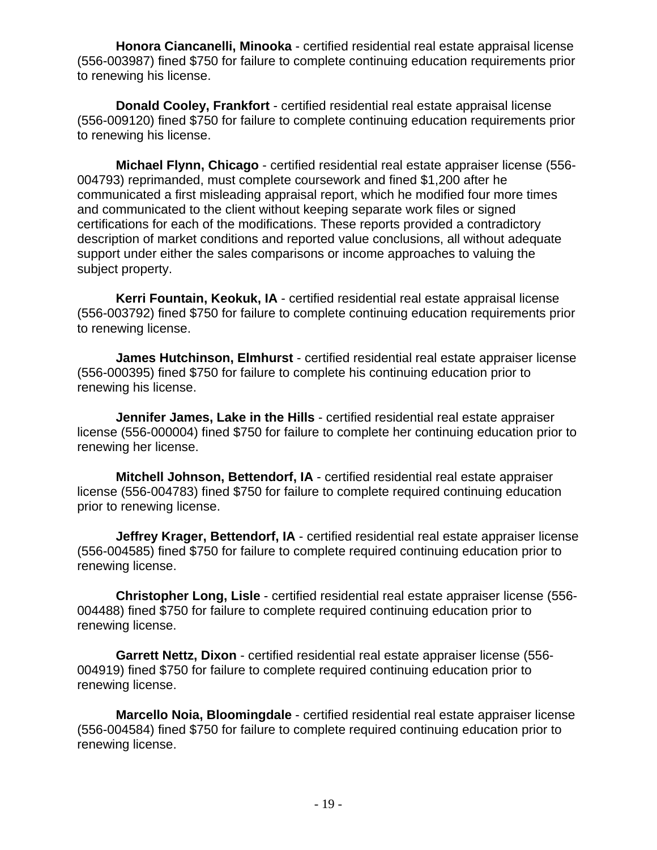**Honora Ciancanelli, Minooka** - certified residential real estate appraisal license (556-003987) fined \$750 for failure to complete continuing education requirements prior to renewing his license.

**Donald Cooley, Frankfort** - certified residential real estate appraisal license (556-009120) fined \$750 for failure to complete continuing education requirements prior to renewing his license.

**Michael Flynn, Chicago** - certified residential real estate appraiser license (556- 004793) reprimanded, must complete coursework and fined \$1,200 after he communicated a first misleading appraisal report, which he modified four more times and communicated to the client without keeping separate work files or signed certifications for each of the modifications. These reports provided a contradictory description of market conditions and reported value conclusions, all without adequate support under either the sales comparisons or income approaches to valuing the subject property.

**Kerri Fountain, Keokuk, IA** - certified residential real estate appraisal license (556-003792) fined \$750 for failure to complete continuing education requirements prior to renewing license.

**James Hutchinson, Elmhurst** - certified residential real estate appraiser license (556-000395) fined \$750 for failure to complete his continuing education prior to renewing his license.

**Jennifer James, Lake in the Hills** - certified residential real estate appraiser license (556-000004) fined \$750 for failure to complete her continuing education prior to renewing her license.

**Mitchell Johnson, Bettendorf, IA** - certified residential real estate appraiser license (556-004783) fined \$750 for failure to complete required continuing education prior to renewing license.

**Jeffrey Krager, Bettendorf, IA** - certified residential real estate appraiser license (556-004585) fined \$750 for failure to complete required continuing education prior to renewing license.

**Christopher Long, Lisle** - certified residential real estate appraiser license (556- 004488) fined \$750 for failure to complete required continuing education prior to renewing license.

**Garrett Nettz, Dixon** - certified residential real estate appraiser license (556- 004919) fined \$750 for failure to complete required continuing education prior to renewing license.

**Marcello Noia, Bloomingdale** - certified residential real estate appraiser license (556-004584) fined \$750 for failure to complete required continuing education prior to renewing license.